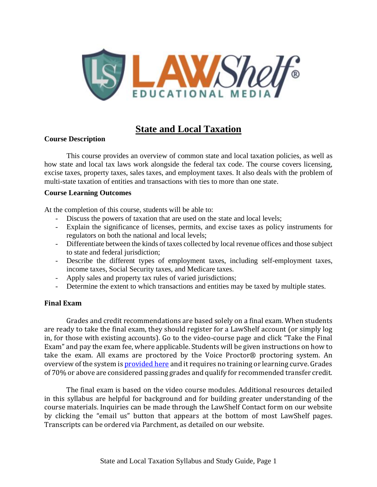

# **State and Local Taxation**

## **Course Description**

This course provides an overview of common state and local taxation policies, as well as how state and local tax laws work alongside the federal tax code. The course covers licensing, excise taxes, property taxes, sales taxes, and employment taxes. It also deals with the problem of multi-state taxation of entities and transactions with ties to more than one state.

### **Course Learning Outcomes**

At the completion of this course, students will be able to:

- Discuss the powers of taxation that are used on the state and local levels;
- Explain the significance of licenses, permits, and excise taxes as policy instruments for regulators on both the national and local levels;
- Differentiate between the kinds of taxes collected by local revenue offices and those subject to state and federal jurisdiction;
- Describe the different types of employment taxes, including self-employment taxes, income taxes, Social Security taxes, and Medicare taxes.
- Apply sales and property tax rules of varied jurisdictions;
- Determine the extent to which transactions and entities may be taxed by multiple states.

## **Final Exam**

Grades and credit recommendations are based solely on a final exam. When students are ready to take the final exam, they should register for a LawShelf account (or simply log in, for those with existing accounts). Go to the video-course page and click "Take the Final Exam" and pay the exam fee, where applicable. Students will be given instructions on how to take the exam. All exams are proctored by the Voice Proctor® proctoring system. An overview of the system is **[provided](https://lawshelf.com/voiceproctorvideo) here** and it requires no training or learning curve. Grades of 70% or above are considered passing grades and qualify for recommended transfer credit.

The final exam is based on the video course modules. Additional resources detailed in this syllabus are helpful for background and for building greater understanding of the course materials. Inquiries can be made through the LawShelf Contact form on our website by clicking the "email us" button that appears at the bottom of most LawShelf pages. Transcripts can be ordered via Parchment, as detailed on our website.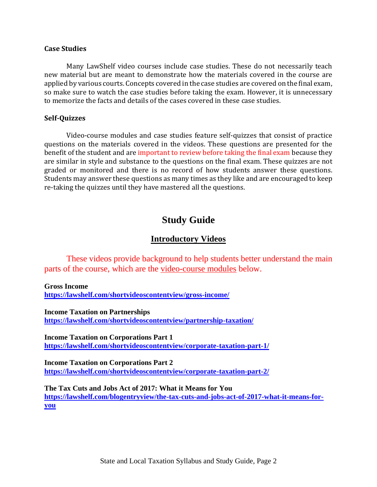#### **Case Studies**

Many LawShelf video courses include case studies. These do not necessarily teach new material but are meant to demonstrate how the materials covered in the course are applied by various courts. Concepts covered in the case studies are covered on the final exam, so make sure to watch the case studies before taking the exam. However, it is unnecessary to memorize the facts and details of the cases covered in these case studies.

#### **Self-Quizzes**

Video-course modules and case studies feature self-quizzes that consist of practice questions on the materials covered in the videos. These questions are presented for the benefit of the student and are important to review before taking the final exam because they are similar in style and substance to the questions on the final exam. These quizzes are not graded or monitored and there is no record of how students answer these questions. Students may answer these questions as many times as they like and are encouraged to keep re-taking the quizzes until they have mastered all the questions.

# **Study Guide**

## **Introductory Videos**

These videos provide background to help students better understand the main parts of the course, which are the video-course modules below.

**Gross Income**

**<https://lawshelf.com/shortvideoscontentview/gross-income/>**

**Income Taxation on Partnerships <https://lawshelf.com/shortvideoscontentview/partnership-taxation/>**

**Income Taxation on Corporations Part 1 <https://lawshelf.com/shortvideoscontentview/corporate-taxation-part-1/>**

**Income Taxation on Corporations Part 2 <https://lawshelf.com/shortvideoscontentview/corporate-taxation-part-2/>**

**The Tax Cuts and Jobs Act of 2017: What it Means for You [https://lawshelf.com/blogentryview/the-tax-cuts-and-jobs-act-of-2017-what-it-means-for](https://lawshelf.com/blogentryview/the-tax-cuts-and-jobs-act-of-2017-what-it-means-for-you)[you](https://lawshelf.com/blogentryview/the-tax-cuts-and-jobs-act-of-2017-what-it-means-for-you)**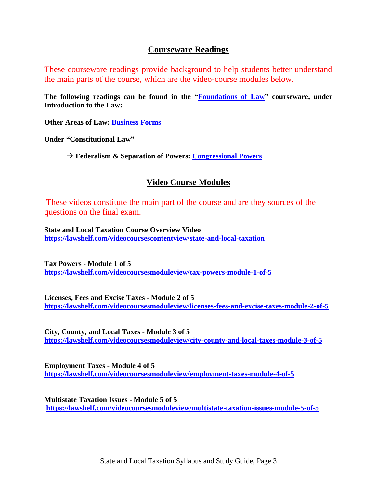## **Courseware Readings**

These courseware readings provide background to help students better understand the main parts of the course, which are the video-course modules below.

**The following readings can be found in the ["Foundations](https://lawshelf.com/coursewareview) of Law" courseware, under Introduction to the Law:**

**Other Areas of Law: [Business](https://lawshelf.com/coursewarecontentview/business-forms) Forms**

**Under "Constitutional Law"**

→ **Federalism & Separation of Powers: [Congressional](https://lawshelf.com/coursewarecontentview/congressional-powers) Powers**

# **Video Course Modules**

These videos constitute the main part of the course and are they sources of the questions on the final exam.

**State and Local Taxation Course Overview Video <https://lawshelf.com/videocoursescontentview/state-and-local-taxation>**

**Tax Powers - Module 1 of 5 <https://lawshelf.com/videocoursesmoduleview/tax-powers-module-1-of-5>**

**Licenses, Fees and Excise Taxes - Module 2 of 5 <https://lawshelf.com/videocoursesmoduleview/licenses-fees-and-excise-taxes-module-2-of-5>**

**City, County, and Local Taxes - Module 3 of 5 <https://lawshelf.com/videocoursesmoduleview/city-county-and-local-taxes-module-3-of-5>**

**Employment Taxes - Module 4 of 5 <https://lawshelf.com/videocoursesmoduleview/employment-taxes-module-4-of-5>**

**Multistate Taxation Issues - Module 5 of 5 <https://lawshelf.com/videocoursesmoduleview/multistate-taxation-issues-module-5-of-5>**